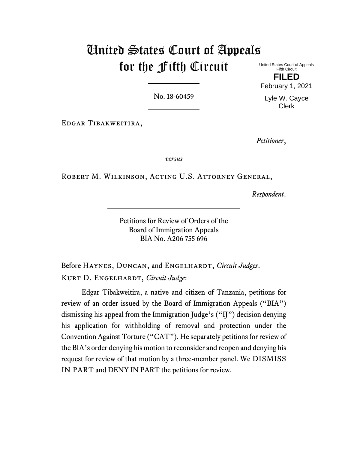# United States Court of Appeals for the Fifth Circuit

United States Court of Appeals Fifth Circuit **FILED** February 1, 2021

Lyle W. Cayce Clerk

No. 18-60459

Edgar Tibakweitira,

*Petitioner*,

*versus*

Robert M. Wilkinson, Acting U.S. Attorney General,

*Respondent*.

Petitions for Review of Orders of the Board of Immigration Appeals BIA No. A206 755 696

Before HAYNES, DUNCAN, and ENGELHARDT, *Circuit Judges*. Kurt D. Engelhardt, *Circuit Judge*:

Edgar Tibakweitira, a native and citizen of Tanzania, petitions for review of an order issued by the Board of Immigration Appeals ("BIA") dismissing his appeal from the Immigration Judge's ("IJ") decision denying his application for withholding of removal and protection under the Convention Against Torture ("CAT"). He separately petitions for review of the BIA's order denying his motion to reconsider and reopen and denying his request for review of that motion by a three-member panel. We DISMISS IN PART and DENY IN PART the petitions for review.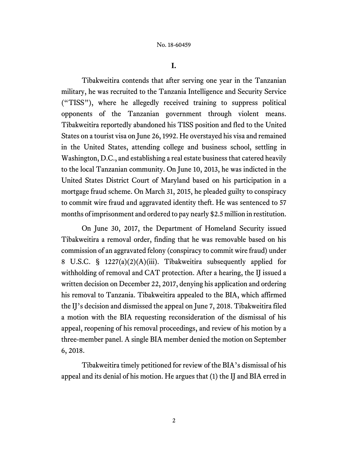**I.**

Tibakweitira contends that after serving one year in the Tanzanian military, he was recruited to the Tanzania Intelligence and Security Service ("TISS"), where he allegedly received training to suppress political opponents of the Tanzanian government through violent means. Tibakweitira reportedly abandoned his TISS position and fled to the United States on a tourist visa on June 26, 1992. He overstayed his visa and remained in the United States, attending college and business school, settling in Washington, D.C., and establishing a real estate business that catered heavily to the local Tanzanian community. On June 10, 2013, he was indicted in the United States District Court of Maryland based on his participation in a mortgage fraud scheme. On March 31, 2015, he pleaded guilty to conspiracy to commit wire fraud and aggravated identity theft. He was sentenced to 57 months of imprisonment and ordered to pay nearly \$2.5 million in restitution.

On June 30, 2017, the Department of Homeland Security issued Tibakweitira a removal order, finding that he was removable based on his commission of an aggravated felony (conspiracy to commit wire fraud) under 8 U.S.C. § 1227(a)(2)(A)(iii). Tibakweitira subsequently applied for withholding of removal and CAT protection. After a hearing, the IJ issued a written decision on December 22, 2017, denying his application and ordering his removal to Tanzania. Tibakweitira appealed to the BIA, which affirmed the IJ's decision and dismissed the appeal on June 7, 2018. Tibakweitira filed a motion with the BIA requesting reconsideration of the dismissal of his appeal, reopening of his removal proceedings, and review of his motion by a three-member panel. A single BIA member denied the motion on September 6, 2018.

Tibakweitira timely petitioned for review of the BIA's dismissal of his appeal and its denial of his motion. He argues that (1) the IJ and BIA erred in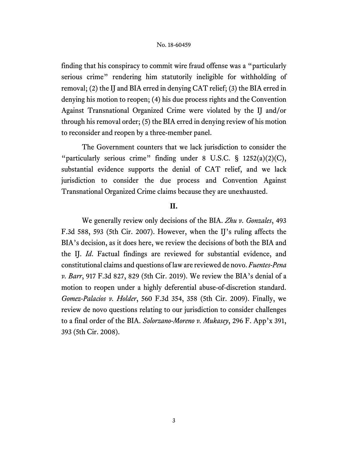finding that his conspiracy to commit wire fraud offense was a "particularly serious crime" rendering him statutorily ineligible for withholding of removal; (2) the IJ and BIA erred in denying CAT relief; (3) the BIA erred in denying his motion to reopen; (4) his due process rights and the Convention Against Transnational Organized Crime were violated by the IJ and/or through his removal order; (5) the BIA erred in denying review of his motion to reconsider and reopen by a three-member panel.

The Government counters that we lack jurisdiction to consider the "particularly serious crime" finding under 8 U.S.C. § 1252(a)(2)(C), substantial evidence supports the denial of CAT relief, and we lack jurisdiction to consider the due process and Convention Against Transnational Organized Crime claims because they are unexhausted.

## **II.**

We generally review only decisions of the BIA. *Zhu v. Gonzales*, 493 F.3d 588, 593 (5th Cir. 2007). However, when the IJ's ruling affects the BIA's decision, as it does here, we review the decisions of both the BIA and the IJ. *Id*. Factual findings are reviewed for substantial evidence, and constitutional claims and questions of law are reviewed de novo. *Fuentes-Pena v. Barr*, 917 F.3d 827, 829 (5th Cir. 2019). We review the BIA's denial of a motion to reopen under a highly deferential abuse-of-discretion standard. *Gomez-Palacios v. Holder*, 560 F.3d 354, 358 (5th Cir. 2009). Finally, we review de novo questions relating to our jurisdiction to consider challenges to a final order of the BIA. *Solorzano-Moreno v. Mukasey*, 296 F. App'x 391, 393 (5th Cir. 2008).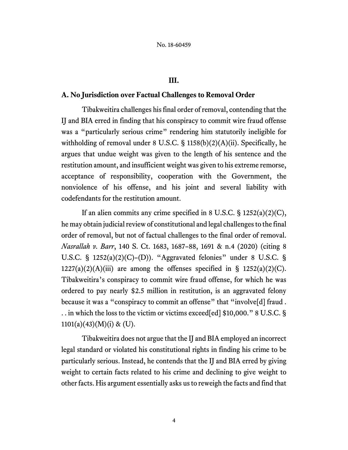## **III.**

## **A. No Jurisdiction over Factual Challenges to Removal Order**

Tibakweitira challenges his final order of removal, contending that the IJ and BIA erred in finding that his conspiracy to commit wire fraud offense was a "particularly serious crime" rendering him statutorily ineligible for withholding of removal under 8 U.S.C.  $\S$  1158(b)(2)(A)(ii). Specifically, he argues that undue weight was given to the length of his sentence and the restitution amount, and insufficient weight was given to his extreme remorse, acceptance of responsibility, cooperation with the Government, the nonviolence of his offense, and his joint and several liability with codefendants for the restitution amount.

If an alien commits any crime specified in 8 U.S.C.  $\S$  1252(a)(2)(C), he may obtain judicial review of constitutional and legal challenges to the final order of removal, but not of factual challenges to the final order of removal. *Nasrallah v. Barr*, 140 S. Ct. 1683, 1687–88, 1691 & n.4 (2020) (citing 8 U.S.C. §  $1252(a)(2)(C)$ –(D)). "Aggravated felonies" under 8 U.S.C. §  $1227(a)(2)(A)(iii)$  are among the offenses specified in §  $1252(a)(2)(C)$ . Tibakweitira's conspiracy to commit wire fraud offense, for which he was ordered to pay nearly \$2.5 million in restitution, is an aggravated felony because it was a "conspiracy to commit an offense" that "involve[d] fraud. . . in which the loss to the victim or victims exceed[ed] \$10,000." 8 U.S.C. §  $1101(a)(43)(M)(i)$  & (U).

Tibakweitira does not argue that the IJ and BIA employed an incorrect legal standard or violated his constitutional rights in finding his crime to be particularly serious. Instead, he contends that the IJ and BIA erred by giving weight to certain facts related to his crime and declining to give weight to other facts. His argument essentially asks usto reweigh the facts and find that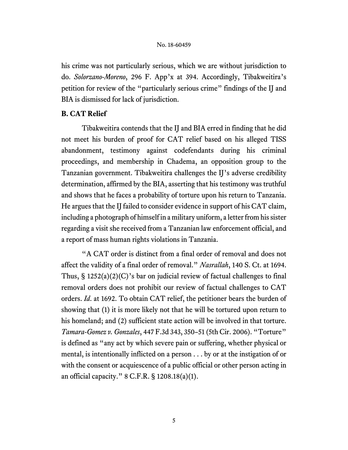his crime was not particularly serious, which we are without jurisdiction to do. *Solorzano-Moreno*, 296 F. App'x at 394. Accordingly, Tibakweitira's petition for review of the "particularly serious crime" findings of the IJ and BIA is dismissed for lack of jurisdiction.

## **B. CAT Relief**

Tibakweitira contends that the IJ and BIA erred in finding that he did not meet his burden of proof for CAT relief based on his alleged TISS abandonment, testimony against codefendants during his criminal proceedings, and membership in Chadema, an opposition group to the Tanzanian government. Tibakweitira challenges the IJ's adverse credibility determination, affirmed by the BIA, asserting that his testimony was truthful and shows that he faces a probability of torture upon his return to Tanzania. He argues that the IJ failed to consider evidence in support of his CAT claim, including a photograph of himself in a military uniform, a letter from his sister regarding a visit she received from a Tanzanian law enforcement official, and a report of mass human rights violations in Tanzania.

"A CAT order is distinct from a final order of removal and does not affect the validity of a final order of removal." *Nasrallah*, 140 S. Ct. at 1694. Thus,  $\S 1252(a)(2)(C)$ 's bar on judicial review of factual challenges to final removal orders does not prohibit our review of factual challenges to CAT orders. *Id*. at 1692. To obtain CAT relief, the petitioner bears the burden of showing that (1) it is more likely not that he will be tortured upon return to his homeland; and (2) sufficient state action will be involved in that torture. *Tamara-Gomez v. Gonzales*, 447 F.3d 343, 350–51 (5th Cir. 2006). "Torture" is defined as "any act by which severe pain or suffering, whether physical or mental, is intentionally inflicted on a person . . . by or at the instigation of or with the consent or acquiescence of a public official or other person acting in an official capacity." 8 C.F.R. § 1208.18(a)(1).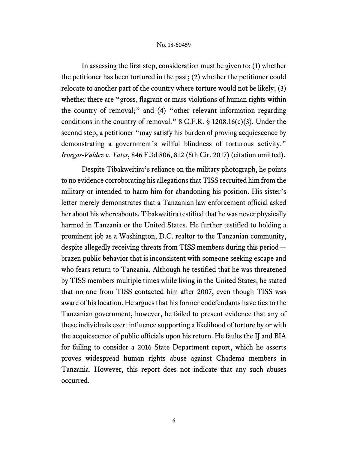In assessing the first step, consideration must be given to: (1) whether the petitioner has been tortured in the past; (2) whether the petitioner could relocate to another part of the country where torture would not be likely; (3) whether there are "gross, flagrant or mass violations of human rights within the country of removal;" and (4) "other relevant information regarding conditions in the country of removal." 8 C.F.R. § 1208.16(c)(3). Under the second step, a petitioner "may satisfy his burden of proving acquiescence by demonstrating a government's willful blindness of torturous activity." *Iruegas-Valdez v. Yates*, 846 F.3d 806, 812 (5th Cir. 2017) (citation omitted).

Despite Tibakweitira's reliance on the military photograph, he points to no evidence corroborating his allegations that TISS recruited him from the military or intended to harm him for abandoning his position. His sister's letter merely demonstrates that a Tanzanian law enforcement official asked her about his whereabouts. Tibakweitira testified that he was never physically harmed in Tanzania or the United States. He further testified to holding a prominent job as a Washington, D.C. realtor to the Tanzanian community, despite allegedly receiving threats from TISS members during this period brazen public behavior that is inconsistent with someone seeking escape and who fears return to Tanzania. Although he testified that he was threatened by TISS members multiple times while living in the United States, he stated that no one from TISS contacted him after 2007, even though TISS was aware of his location. He argues that his former codefendants have ties to the Tanzanian government, however, he failed to present evidence that any of these individuals exert influence supporting a likelihood of torture by or with the acquiescence of public officials upon his return. He faults the IJ and BIA for failing to consider a 2016 State Department report, which he asserts proves widespread human rights abuse against Chadema members in Tanzania. However, this report does not indicate that any such abuses occurred.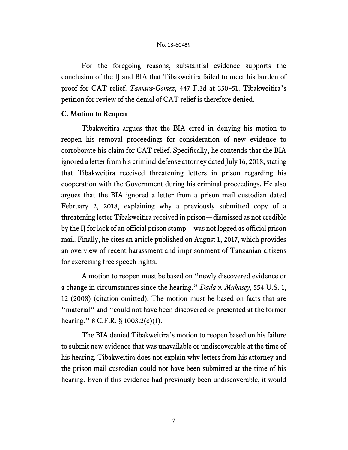For the foregoing reasons, substantial evidence supports the conclusion of the IJ and BIA that Tibakweitira failed to meet his burden of proof for CAT relief. *Tamara-Gomez*, 447 F.3d at 350–51. Tibakweitira's petition for review of the denial of CAT relief is therefore denied.

### **C. Motion to Reopen**

Tibakweitira argues that the BIA erred in denying his motion to reopen his removal proceedings for consideration of new evidence to corroborate his claim for CAT relief. Specifically, he contends that the BIA ignored a letter from his criminal defense attorney dated July 16, 2018, stating that Tibakweitira received threatening letters in prison regarding his cooperation with the Government during his criminal proceedings. He also argues that the BIA ignored a letter from a prison mail custodian dated February 2, 2018, explaining why a previously submitted copy of a threatening letter Tibakweitira received in prison—dismissed as not credible by the IJ for lack of an official prison stamp—was not logged as official prison mail. Finally, he cites an article published on August 1, 2017, which provides an overview of recent harassment and imprisonment of Tanzanian citizens for exercising free speech rights.

A motion to reopen must be based on "newly discovered evidence or a change in circumstances since the hearing." *Dada v. Mukasey*, 554 U.S. 1, 12 (2008) (citation omitted). The motion must be based on facts that are "material" and "could not have been discovered or presented at the former hearing." 8 C.F.R. § 1003.2(c)(1).

The BIA denied Tibakweitira's motion to reopen based on his failure to submit new evidence that was unavailable or undiscoverable at the time of his hearing. Tibakweitira does not explain why letters from his attorney and the prison mail custodian could not have been submitted at the time of his hearing. Even if this evidence had previously been undiscoverable, it would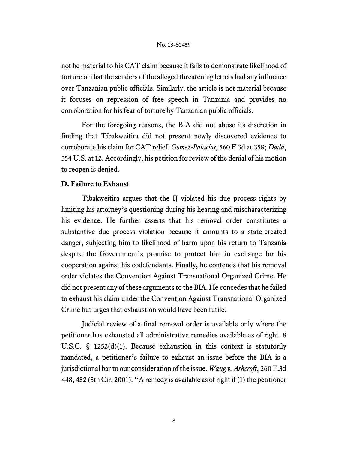not be material to his CAT claim because it fails to demonstrate likelihood of torture or that the senders of the alleged threatening letters had any influence over Tanzanian public officials. Similarly, the article is not material because it focuses on repression of free speech in Tanzania and provides no corroboration for his fear of torture by Tanzanian public officials.

For the foregoing reasons, the BIA did not abuse its discretion in finding that Tibakweitira did not present newly discovered evidence to corroborate his claim for CAT relief. *Gomez-Palacios*, 560 F.3d at 358; *Dada*, 554 U.S. at 12. Accordingly, his petition for review of the denial of his motion to reopen is denied.

## **D. Failure to Exhaust**

Tibakweitira argues that the IJ violated his due process rights by limiting his attorney's questioning during his hearing and mischaracterizing his evidence. He further asserts that his removal order constitutes a substantive due process violation because it amounts to a state-created danger, subjecting him to likelihood of harm upon his return to Tanzania despite the Government's promise to protect him in exchange for his cooperation against his codefendants. Finally, he contends that his removal order violates the Convention Against Transnational Organized Crime. He did not present any of these arguments to the BIA. He concedes that he failed to exhaust his claim under the Convention Against Transnational Organized Crime but urges that exhaustion would have been futile.

Judicial review of a final removal order is available only where the petitioner has exhausted all administrative remedies available as of right. 8 U.S.C. § 1252(d)(1). Because exhaustion in this context is statutorily mandated, a petitioner's failure to exhaust an issue before the BIA is a jurisdictional bar to our consideration of the issue. *Wang v. Ashcroft*, 260 F.3d 448, 452 (5th Cir. 2001). "A remedy is available as of right if (1) the petitioner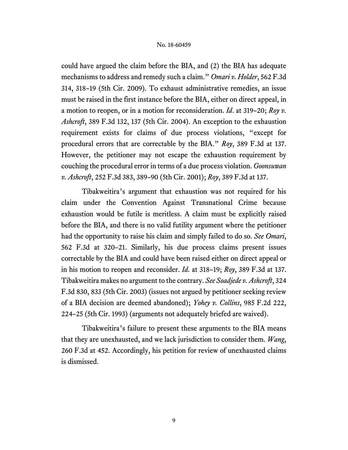could have argued the claim before the BIA, and (2) the BIA has adequate mechanisms to address and remedy such a claim." *Omari v. Holder*, 562 F.3d 314, 318–19 (5th Cir. 2009). To exhaust administrative remedies, an issue must be raised in the first instance before the BIA, either on direct appeal, in a motion to reopen, or in a motion for reconsideration. *Id*. at 319–20; *Roy v. Ashcroft*, 389 F.3d 132, 137 (5th Cir. 2004). An exception to the exhaustion requirement exists for claims of due process violations, "except for procedural errors that are correctable by the BIA." *Roy*, 389 F.3d at 137. However, the petitioner may not escape the exhaustion requirement by couching the procedural error in terms of a due process violation. *Goonsuwan v. Ashcroft*, 252 F.3d 383, 389–90 (5th Cir. 2001); *Roy*, 389 F.3d at 137.

Tibakweitira's argument that exhaustion was not required for his claim under the Convention Against Transnational Crime because exhaustion would be futile is meritless. A claim must be explicitly raised before the BIA, and there is no valid futility argument where the petitioner had the opportunity to raise his claim and simply failed to do so. *See Omari*, 562 F.3d at 320–21. Similarly, his due process claims present issues correctable by the BIA and could have been raised either on direct appeal or in his motion to reopen and reconsider. *Id*. at 318–19; *Roy*, 389 F.3d at 137. Tibakweitira makes no argument to the contrary. *See Soadjede v. Ashcroft*, 324 F.3d 830, 833 (5th Cir. 2003) (issues not argued by petitioner seeking review of a BIA decision are deemed abandoned); *Yohey v. Collins*, 985 F.2d 222, 224–25 (5th Cir. 1993) (arguments not adequately briefed are waived).

Tibakweitira's failure to present these arguments to the BIA means that they are unexhausted, and we lack jurisdiction to consider them. *Wang*, 260 F.3d at 452. Accordingly, his petition for review of unexhausted claims is dismissed.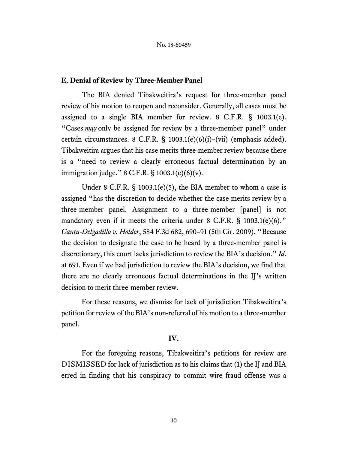## **E. Denial of Review by Three-Member Panel**

The BIA denied Tibakweitira's request for three-member panel review of his motion to reopen and reconsider. Generally, all cases must be assigned to a single BIA member for review. 8 C.F.R. § 1003.1(e). "Cases *may* only be assigned for review by a three-member panel" under certain circumstances. 8 C.F.R. § 1003.1(e)(6)(i)–(vii) (emphasis added). Tibakweitira argues that his case merits three-member review because there is a "need to review a clearly erroneous factual determination by an immigration judge."  $8$  C.F.R.  $\S$  1003.1(e)(6)(v).

Under 8 C.F.R. § 1003.1(e)(5), the BIA member to whom a case is assigned "has the discretion to decide whether the case merits review by a three-member panel. Assignment to a three-member [panel] is not mandatory even if it meets the criteria under 8 C.F.R. § 1003.1(e)(6)." *Cantu-Delgadillo v. Holder*, 584 F.3d 682, 690–91 (5th Cir. 2009). "Because the decision to designate the case to be heard by a three-member panel is discretionary, this court lacks jurisdiction to review the BIA's decision." *Id*. at 691. Even if we had jurisdiction to review the BIA's decision, we find that there are no clearly erroneous factual determinations in the IJ's written decision to merit three-member review.

For these reasons, we dismiss for lack of jurisdiction Tibakweitira's petition for review of the BIA's non-referral of his motion to a three-member panel.

## **IV.**

For the foregoing reasons, Tibakweitira's petitions for review are DISMISSED for lack of jurisdiction as to his claims that (1) the IJ and BIA erred in finding that his conspiracy to commit wire fraud offense was a